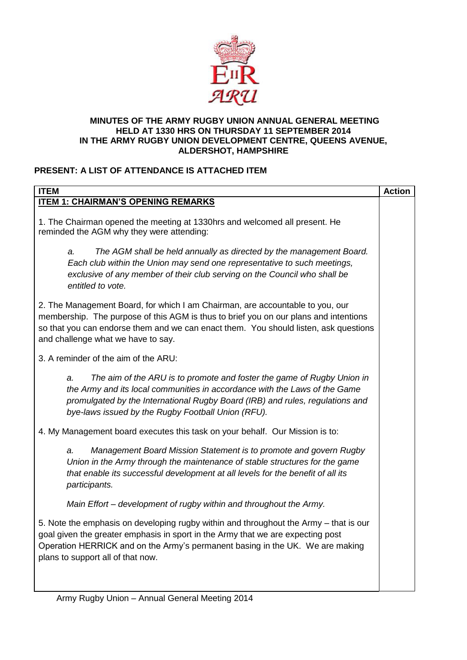

#### **MINUTES OF THE ARMY RUGBY UNION ANNUAL GENERAL MEETING HELD AT 1330 HRS ON THURSDAY 11 SEPTEMBER 2014 IN THE ARMY RUGBY UNION DEVELOPMENT CENTRE, QUEENS AVENUE, ALDERSHOT, HAMPSHIRE**

## **PRESENT: A LIST OF ATTENDANCE IS ATTACHED ITEM**

| <b>ITEM</b>                                                                                                                                                                                                                                                                                         | <b>Action</b> |  |
|-----------------------------------------------------------------------------------------------------------------------------------------------------------------------------------------------------------------------------------------------------------------------------------------------------|---------------|--|
| <b>ITEM 1: CHAIRMAN'S OPENING REMARKS</b>                                                                                                                                                                                                                                                           |               |  |
| 1. The Chairman opened the meeting at 1330hrs and welcomed all present. He<br>reminded the AGM why they were attending:                                                                                                                                                                             |               |  |
| The AGM shall be held annually as directed by the management Board.<br>a.<br>Each club within the Union may send one representative to such meetings,<br>exclusive of any member of their club serving on the Council who shall be<br>entitled to vote.                                             |               |  |
| 2. The Management Board, for which I am Chairman, are accountable to you, our<br>membership. The purpose of this AGM is thus to brief you on our plans and intentions<br>so that you can endorse them and we can enact them. You should listen, ask questions<br>and challenge what we have to say. |               |  |
| 3. A reminder of the aim of the ARU:                                                                                                                                                                                                                                                                |               |  |
| The aim of the ARU is to promote and foster the game of Rugby Union in<br>a.<br>the Army and its local communities in accordance with the Laws of the Game<br>promulgated by the International Rugby Board (IRB) and rules, regulations and<br>bye-laws issued by the Rugby Football Union (RFU).   |               |  |
| 4. My Management board executes this task on your behalf. Our Mission is to:                                                                                                                                                                                                                        |               |  |
| Management Board Mission Statement is to promote and govern Rugby<br>a.<br>Union in the Army through the maintenance of stable structures for the game<br>that enable its successful development at all levels for the benefit of all its<br>participants.                                          |               |  |
| Main Effort - development of rugby within and throughout the Army.                                                                                                                                                                                                                                  |               |  |
| 5. Note the emphasis on developing rugby within and throughout the Army - that is our<br>goal given the greater emphasis in sport in the Army that we are expecting post<br>Operation HERRICK and on the Army's permanent basing in the UK. We are making<br>plans to support all of that now.      |               |  |
|                                                                                                                                                                                                                                                                                                     |               |  |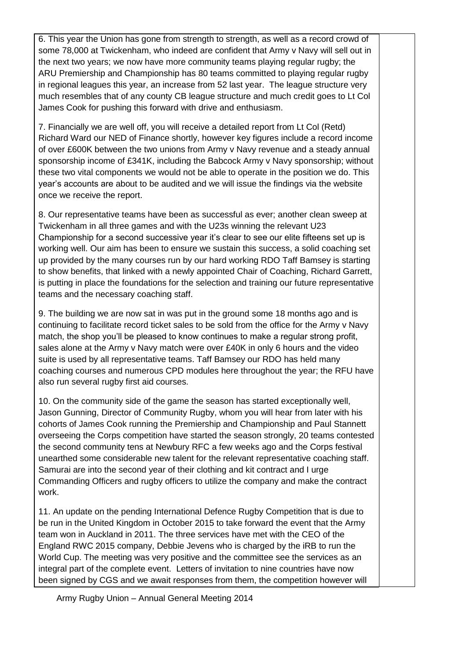6. This year the Union has gone from strength to strength, as well as a record crowd of some 78,000 at Twickenham, who indeed are confident that Army v Navy will sell out in the next two years; we now have more community teams playing regular rugby; the ARU Premiership and Championship has 80 teams committed to playing regular rugby in regional leagues this year, an increase from 52 last year. The league structure very much resembles that of any county CB league structure and much credit goes to Lt Col James Cook for pushing this forward with drive and enthusiasm.

7. Financially we are well off, you will receive a detailed report from Lt Col (Retd) Richard Ward our NED of Finance shortly, however key figures include a record income of over £600K between the two unions from Army v Navy revenue and a steady annual sponsorship income of £341K, including the Babcock Army v Navy sponsorship; without these two vital components we would not be able to operate in the position we do. This year's accounts are about to be audited and we will issue the findings via the website once we receive the report.

8. Our representative teams have been as successful as ever; another clean sweep at Twickenham in all three games and with the U23s winning the relevant U23 Championship for a second successive year it's clear to see our elite fifteens set up is working well. Our aim has been to ensure we sustain this success, a solid coaching set up provided by the many courses run by our hard working RDO Taff Bamsey is starting to show benefits, that linked with a newly appointed Chair of Coaching, Richard Garrett, is putting in place the foundations for the selection and training our future representative teams and the necessary coaching staff.

9. The building we are now sat in was put in the ground some 18 months ago and is continuing to facilitate record ticket sales to be sold from the office for the Army v Navy match, the shop you'll be pleased to know continues to make a regular strong profit, sales alone at the Army v Navy match were over £40K in only 6 hours and the video suite is used by all representative teams. Taff Bamsey our RDO has held many coaching courses and numerous CPD modules here throughout the year; the RFU have also run several rugby first aid courses.

10. On the community side of the game the season has started exceptionally well, Jason Gunning, Director of Community Rugby, whom you will hear from later with his cohorts of James Cook running the Premiership and Championship and Paul Stannett overseeing the Corps competition have started the season strongly, 20 teams contested the second community tens at Newbury RFC a few weeks ago and the Corps festival unearthed some considerable new talent for the relevant representative coaching staff. Samurai are into the second year of their clothing and kit contract and I urge Commanding Officers and rugby officers to utilize the company and make the contract work.

11. An update on the pending International Defence Rugby Competition that is due to be run in the United Kingdom in October 2015 to take forward the event that the Army team won in Auckland in 2011. The three services have met with the CEO of the England RWC 2015 company, Debbie Jevens who is charged by the iRB to run the World Cup. The meeting was very positive and the committee see the services as an integral part of the complete event. Letters of invitation to nine countries have now been signed by CGS and we await responses from them, the competition however will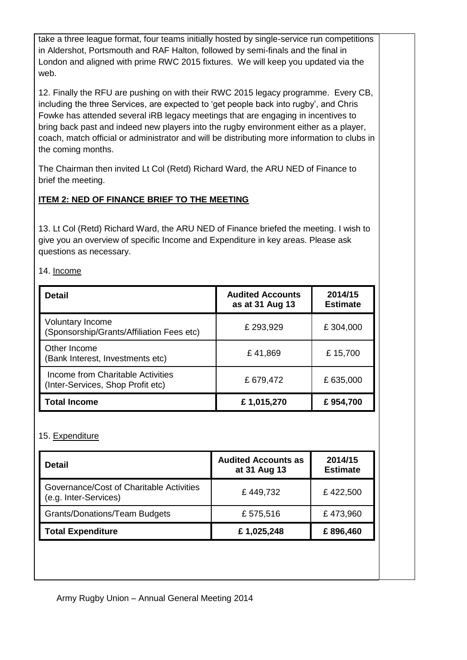take a three league format, four teams initially hosted by single-service run competitions in Aldershot, Portsmouth and RAF Halton, followed by semi-finals and the final in London and aligned with prime RWC 2015 fixtures. We will keep you updated via the web.

12. Finally the RFU are pushing on with their RWC 2015 legacy programme. Every CB, including the three Services, are expected to 'get people back into rugby', and Chris Fowke has attended several iRB legacy meetings that are engaging in incentives to bring back past and indeed new players into the rugby environment either as a player, coach, match official or administrator and will be distributing more information to clubs in the coming months.

The Chairman then invited Lt Col (Retd) Richard Ward, the ARU NED of Finance to brief the meeting.

# **ITEM 2: NED OF FINANCE BRIEF TO THE MEETING**

13. Lt Col (Retd) Richard Ward, the ARU NED of Finance briefed the meeting. I wish to give you an overview of specific Income and Expenditure in key areas. Please ask questions as necessary.

#### 14. Income

| <b>Detail</b>                                                          | <b>Audited Accounts</b><br>as at 31 Aug 13 | 2014/15<br><b>Estimate</b> |
|------------------------------------------------------------------------|--------------------------------------------|----------------------------|
| <b>Voluntary Income</b><br>(Sponsorship/Grants/Affiliation Fees etc)   | £ 293,929                                  | £304,000                   |
| Other Income<br>(Bank Interest, Investments etc)                       | £41,869                                    | £15,700                    |
| Income from Charitable Activities<br>(Inter-Services, Shop Profit etc) | £679,472                                   | £ 635,000                  |
| <b>Total Income</b>                                                    | £1,015,270                                 | £954,700                   |

### 15. Expenditure

| <b>Detail</b>                                                     | <b>Audited Accounts as</b><br>at 31 Aug 13 | 2014/15<br><b>Estimate</b> |
|-------------------------------------------------------------------|--------------------------------------------|----------------------------|
| Governance/Cost of Charitable Activities<br>(e.g. Inter-Services) | £449,732                                   | £422,500                   |
| <b>Grants/Donations/Team Budgets</b>                              | £575,516                                   | £473,960                   |
| <b>Total Expenditure</b>                                          | £1,025,248                                 | £896,460                   |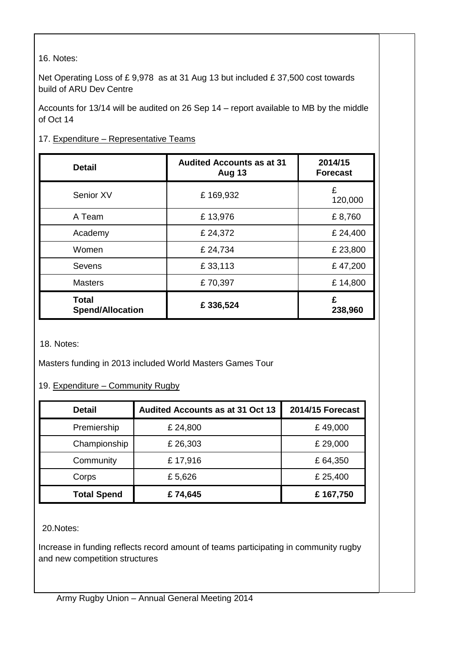16. Notes:

Net Operating Loss of £ 9,978 as at 31 Aug 13 but included £ 37,500 cost towards build of ARU Dev Centre

Accounts for 13/14 will be audited on 26 Sep 14 – report available to MB by the middle of Oct 14

#### 17. Expenditure - Representative Teams

| <b>Detail</b>                           | <b>Audited Accounts as at 31</b><br>Aug 13 | 2014/15<br><b>Forecast</b> |
|-----------------------------------------|--------------------------------------------|----------------------------|
| Senior XV                               | £169,932                                   | £<br>120,000               |
| A Team                                  | £13,976                                    | £8,760                     |
| Academy                                 | £ 24,372                                   | £ 24,400                   |
| Women                                   | £ 24,734                                   | £ 23,800                   |
| Sevens                                  | £33,113                                    | £47,200                    |
| <b>Masters</b>                          | £70,397                                    | £14,800                    |
| <b>Total</b><br><b>Spend/Allocation</b> | £336,524                                   | £<br>238,960               |

18. Notes:

Masters funding in 2013 included World Masters Games Tour

#### 19. Expenditure – Community Rugby

| <b>Detail</b>      | <b>Audited Accounts as at 31 Oct 13</b> | <b>2014/15 Forecast</b> |
|--------------------|-----------------------------------------|-------------------------|
| Premiership        | £ 24,800                                | £49,000                 |
| Championship       | £26,303                                 | £ 29,000                |
| Community          | £17,916                                 | £64,350                 |
| Corps              | £5,626                                  | £ 25,400                |
| <b>Total Spend</b> | £74,645                                 | £167,750                |

20.Notes:

Increase in funding reflects record amount of teams participating in community rugby and new competition structures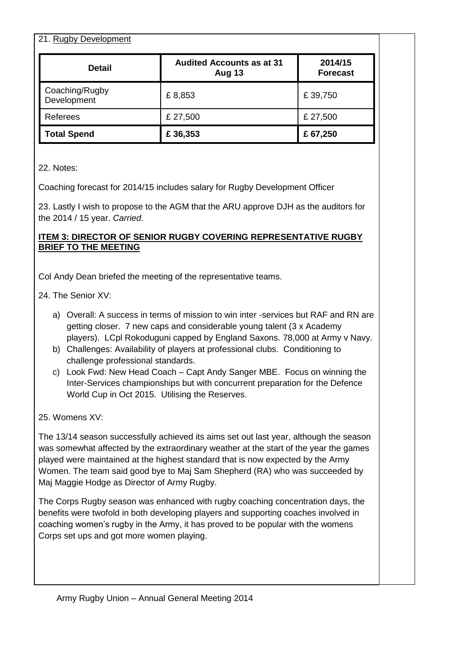| 21. Rugby Development         |                                                   |                            |  |  |
|-------------------------------|---------------------------------------------------|----------------------------|--|--|
| <b>Detail</b>                 | <b>Audited Accounts as at 31</b><br><b>Aug 13</b> | 2014/15<br><b>Forecast</b> |  |  |
| Coaching/Rugby<br>Development | £8,853                                            | £39,750                    |  |  |
| Referees                      | £ 27,500                                          | £ 27,500                   |  |  |
| <b>Total Spend</b>            | £36,353                                           | £67,250                    |  |  |

22. Notes:

Coaching forecast for 2014/15 includes salary for Rugby Development Officer

23. Lastly I wish to propose to the AGM that the ARU approve DJH as the auditors for the 2014 / 15 year. *Carried*.

#### **ITEM 3: DIRECTOR OF SENIOR RUGBY COVERING REPRESENTATIVE RUGBY BRIEF TO THE MEETING**

Col Andy Dean briefed the meeting of the representative teams.

24. The Senior XV:

- a) Overall: A success in terms of mission to win inter -services but RAF and RN are getting closer. 7 new caps and considerable young talent (3 x Academy players). LCpl Rokoduguni capped by England Saxons. 78,000 at Army v Navy.
- b) Challenges: Availability of players at professional clubs. Conditioning to challenge professional standards.
- c) Look Fwd: New Head Coach Capt Andy Sanger MBE. Focus on winning the Inter-Services championships but with concurrent preparation for the Defence World Cup in Oct 2015. Utilising the Reserves.

25. Womens XV:

The 13/14 season successfully achieved its aims set out last year, although the season was somewhat affected by the extraordinary weather at the start of the year the games played were maintained at the highest standard that is now expected by the Army Women. The team said good bye to Maj Sam Shepherd (RA) who was succeeded by Maj Maggie Hodge as Director of Army Rugby.

The Corps Rugby season was enhanced with rugby coaching concentration days, the benefits were twofold in both developing players and supporting coaches involved in coaching women's rugby in the Army, it has proved to be popular with the womens Corps set ups and got more women playing.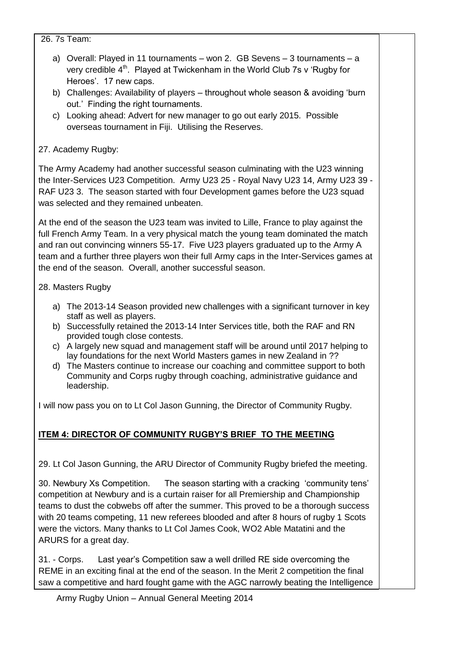26. 7s Team:

- a) Overall: Played in 11 tournaments won 2. GB Sevens 3 tournaments a verv credible 4<sup>th</sup>. Played at Twickenham in the World Club 7s v 'Rugby for Heroes'. 17 new caps.
- b) Challenges: Availability of players throughout whole season & avoiding 'burn out.' Finding the right tournaments.
- c) Looking ahead: Advert for new manager to go out early 2015. Possible overseas tournament in Fiji. Utilising the Reserves.

### 27. Academy Rugby:

The Army Academy had another successful season culminating with the U23 winning the Inter-Services U23 Competition. Army U23 25 - Royal Navy U23 14, Army U23 39 - RAF U23 3. The season started with four Development games before the U23 squad was selected and they remained unbeaten.

At the end of the season the U23 team was invited to Lille, France to play against the full French Army Team. In a very physical match the young team dominated the match and ran out convincing winners 55-17. Five U23 players graduated up to the Army A team and a further three players won their full Army caps in the Inter-Services games at the end of the season. Overall, another successful season.

28. Masters Rugby

- a) The 2013-14 Season provided new challenges with a significant turnover in key staff as well as players.
- b) Successfully retained the 2013-14 Inter Services title, both the RAF and RN provided tough close contests.
- c) A largely new squad and management staff will be around until 2017 helping to lay foundations for the next World Masters games in new Zealand in ??
- d) The Masters continue to increase our coaching and committee support to both Community and Corps rugby through coaching, administrative guidance and leadership.

I will now pass you on to Lt Col Jason Gunning, the Director of Community Rugby.

### **ITEM 4: DIRECTOR OF COMMUNITY RUGBY'S BRIEF TO THE MEETING**

29. Lt Col Jason Gunning, the ARU Director of Community Rugby briefed the meeting.

30. Newbury Xs Competition. The season starting with a cracking 'community tens' competition at Newbury and is a curtain raiser for all Premiership and Championship teams to dust the cobwebs off after the summer. This proved to be a thorough success with 20 teams competing, 11 new referees blooded and after 8 hours of rugby 1 Scots were the victors. Many thanks to Lt Col James Cook, WO2 Able Matatini and the ARURS for a great day.

31. - Corps. Last year's Competition saw a well drilled RE side overcoming the REME in an exciting final at the end of the season. In the Merit 2 competition the final saw a competitive and hard fought game with the AGC narrowly beating the Intelligence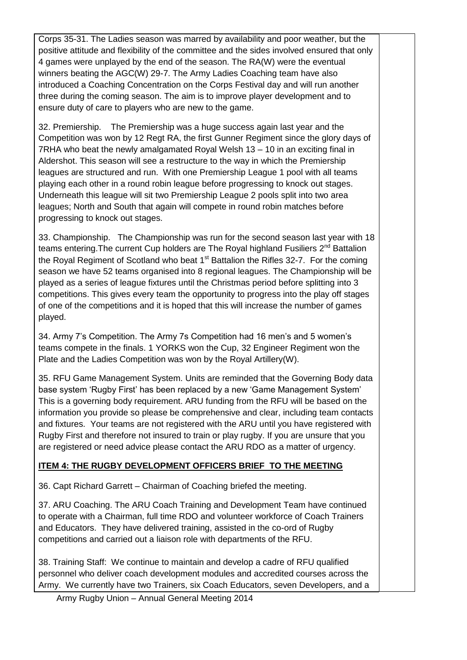Corps 35-31. The Ladies season was marred by availability and poor weather, but the positive attitude and flexibility of the committee and the sides involved ensured that only 4 games were unplayed by the end of the season. The RA(W) were the eventual winners beating the AGC(W) 29-7. The Army Ladies Coaching team have also introduced a Coaching Concentration on the Corps Festival day and will run another three during the coming season. The aim is to improve player development and to ensure duty of care to players who are new to the game.

32. Premiership. The Premiership was a huge success again last year and the Competition was won by 12 Regt RA, the first Gunner Regiment since the glory days of 7RHA who beat the newly amalgamated Royal Welsh 13 – 10 in an exciting final in Aldershot. This season will see a restructure to the way in which the Premiership leagues are structured and run. With one Premiership League 1 pool with all teams playing each other in a round robin league before progressing to knock out stages. Underneath this league will sit two Premiership League 2 pools split into two area leagues; North and South that again will compete in round robin matches before progressing to knock out stages.

33. Championship. The Championship was run for the second season last year with 18 teams entering. The current Cup holders are The Royal highland Fusiliers  $2^{nd}$  Battalion the Royal Regiment of Scotland who beat  $1<sup>st</sup>$  Battalion the Rifles 32-7. For the coming season we have 52 teams organised into 8 regional leagues. The Championship will be played as a series of league fixtures until the Christmas period before splitting into 3 competitions. This gives every team the opportunity to progress into the play off stages of one of the competitions and it is hoped that this will increase the number of games played.

34. Army 7's Competition. The Army 7s Competition had 16 men's and 5 women's teams compete in the finals. 1 YORKS won the Cup, 32 Engineer Regiment won the Plate and the Ladies Competition was won by the Royal Artillery(W).

35. RFU Game Management System. Units are reminded that the Governing Body data base system 'Rugby First' has been replaced by a new 'Game Management System' This is a governing body requirement. ARU funding from the RFU will be based on the information you provide so please be comprehensive and clear, including team contacts and fixtures. Your teams are not registered with the ARU until you have registered with Rugby First and therefore not insured to train or play rugby. If you are unsure that you are registered or need advice please contact the ARU RDO as a matter of urgency.

### **ITEM 4: THE RUGBY DEVELOPMENT OFFICERS BRIEF TO THE MEETING**

36. Capt Richard Garrett – Chairman of Coaching briefed the meeting.

37. ARU Coaching. The ARU Coach Training and Development Team have continued to operate with a Chairman, full time RDO and volunteer workforce of Coach Trainers and Educators. They have delivered training, assisted in the co-ord of Rugby competitions and carried out a liaison role with departments of the RFU.

38. Training Staff: We continue to maintain and develop a cadre of RFU qualified personnel who deliver coach development modules and accredited courses across the Army. We currently have two Trainers, six Coach Educators, seven Developers, and a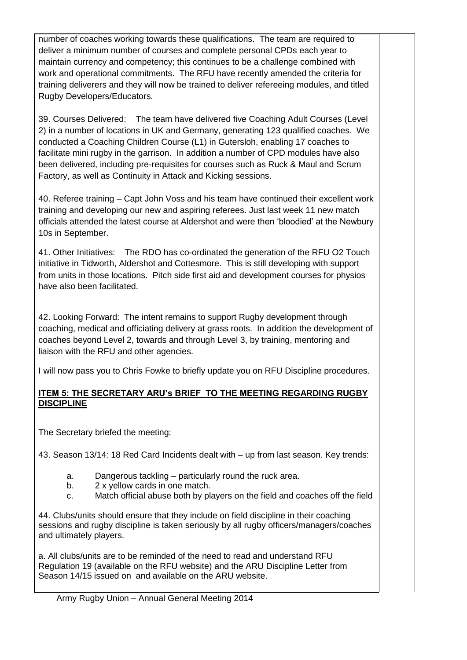number of coaches working towards these qualifications. The team are required to deliver a minimum number of courses and complete personal CPDs each year to maintain currency and competency; this continues to be a challenge combined with work and operational commitments. The RFU have recently amended the criteria for training deliverers and they will now be trained to deliver refereeing modules, and titled Rugby Developers/Educators.

39. Courses Delivered: The team have delivered five Coaching Adult Courses (Level 2) in a number of locations in UK and Germany, generating 123 qualified coaches. We conducted a Coaching Children Course (L1) in Gutersloh, enabling 17 coaches to facilitate mini rugby in the garrison. In addition a number of CPD modules have also been delivered, including pre-requisites for courses such as Ruck & Maul and Scrum Factory, as well as Continuity in Attack and Kicking sessions.

40. Referee training – Capt John Voss and his team have continued their excellent work training and developing our new and aspiring referees. Just last week 11 new match officials attended the latest course at Aldershot and were then 'bloodied' at the Newbury 10s in September.

41. Other Initiatives: The RDO has co-ordinated the generation of the RFU O2 Touch initiative in Tidworth, Aldershot and Cottesmore. This is still developing with support from units in those locations. Pitch side first aid and development courses for physios have also been facilitated.

42. Looking Forward: The intent remains to support Rugby development through coaching, medical and officiating delivery at grass roots. In addition the development of coaches beyond Level 2, towards and through Level 3, by training, mentoring and liaison with the RFU and other agencies.

I will now pass you to Chris Fowke to briefly update you on RFU Discipline procedures.

### **ITEM 5: THE SECRETARY ARU's BRIEF TO THE MEETING REGARDING RUGBY DISCIPLINE**

The Secretary briefed the meeting:

43. Season 13/14: 18 Red Card Incidents dealt with – up from last season. Key trends:

- a. Dangerous tackling particularly round the ruck area.
- b. 2 x yellow cards in one match.
- c. Match official abuse both by players on the field and coaches off the field

44. Clubs/units should ensure that they include on field discipline in their coaching sessions and rugby discipline is taken seriously by all rugby officers/managers/coaches and ultimately players.

a. All clubs/units are to be reminded of the need to read and understand RFU Regulation 19 (available on the RFU website) and the ARU Discipline Letter from Season 14/15 issued on and available on the ARU website.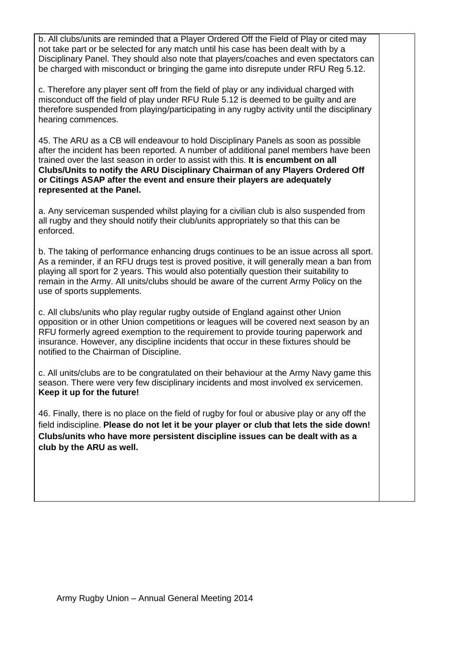b. All clubs/units are reminded that a Player Ordered Off the Field of Play or cited may not take part or be selected for any match until his case has been dealt with by a Disciplinary Panel. They should also note that players/coaches and even spectators can be charged with misconduct or bringing the game into disrepute under RFU Reg 5.12.

c. Therefore any player sent off from the field of play or any individual charged with misconduct off the field of play under RFU Rule 5.12 is deemed to be guilty and are therefore suspended from playing/participating in any rugby activity until the disciplinary hearing commences.

45. The ARU as a CB will endeavour to hold Disciplinary Panels as soon as possible after the incident has been reported. A number of additional panel members have been trained over the last season in order to assist with this. **It is encumbent on all Clubs/Units to notify the ARU Disciplinary Chairman of any Players Ordered Off or Citings ASAP after the event and ensure their players are adequately represented at the Panel.**

a. Any serviceman suspended whilst playing for a civilian club is also suspended from all rugby and they should notify their club/units appropriately so that this can be enforced.

b. The taking of performance enhancing drugs continues to be an issue across all sport. As a reminder, if an RFU drugs test is proved positive, it will generally mean a ban from playing all sport for 2 years. This would also potentially question their suitability to remain in the Army. All units/clubs should be aware of the current Army Policy on the use of sports supplements.

c. All clubs/units who play regular rugby outside of England against other Union opposition or in other Union competitions or leagues will be covered next season by an RFU formerly agreed exemption to the requirement to provide touring paperwork and insurance. However, any discipline incidents that occur in these fixtures should be notified to the Chairman of Discipline.

c. All units/clubs are to be congratulated on their behaviour at the Army Navy game this season. There were very few disciplinary incidents and most involved ex servicemen. **Keep it up for the future!**

46. Finally, there is no place on the field of rugby for foul or abusive play or any off the field indiscipline. **Please do not let it be your player or club that lets the side down! Clubs/units who have more persistent discipline issues can be dealt with as a club by the ARU as well.**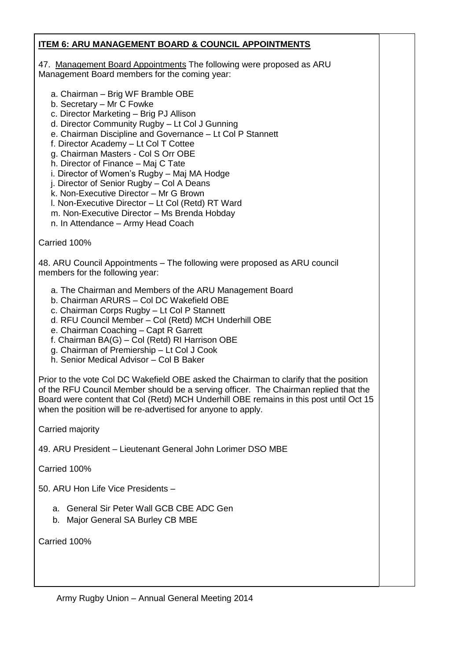### **ITEM 6: ARU MANAGEMENT BOARD & COUNCIL APPOINTMENTS**

47. Management Board Appointments The following were proposed as ARU Management Board members for the coming year:

- a. Chairman Brig WF Bramble OBE
- b. Secretary Mr C Fowke
- c. Director Marketing Brig PJ Allison
- d. Director Community Rugby Lt Col J Gunning
- e. Chairman Discipline and Governance Lt Col P Stannett
- f. Director Academy Lt Col T Cottee
- g. Chairman Masters Col S Orr OBE
- h. Director of Finance Maj C Tate
- i. Director of Women's Rugby Maj MA Hodge
- j. Director of Senior Rugby Col A Deans
- k. Non-Executive Director Mr G Brown
- l. Non-Executive Director Lt Col (Retd) RT Ward
- m. Non-Executive Director Ms Brenda Hobday
- n. In Attendance Army Head Coach

Carried 100%

48. ARU Council Appointments – The following were proposed as ARU council members for the following year:

- a. The Chairman and Members of the ARU Management Board
- b. Chairman ARURS Col DC Wakefield OBE
- c. Chairman Corps Rugby Lt Col P Stannett
- d. RFU Council Member Col (Retd) MCH Underhill OBE
- e. Chairman Coaching Capt R Garrett
- f. Chairman BA(G) Col (Retd) RI Harrison OBE
- g. Chairman of Premiership Lt Col J Cook
- h. Senior Medical Advisor Col B Baker

Prior to the vote Col DC Wakefield OBE asked the Chairman to clarify that the position of the RFU Council Member should be a serving officer. The Chairman replied that the Board were content that Col (Retd) MCH Underhill OBE remains in this post until Oct 15 when the position will be re-advertised for anyone to apply.

Carried majority

49. ARU President – Lieutenant General John Lorimer DSO MBE

Carried 100%

50. ARU Hon Life Vice Presidents –

- a. General Sir Peter Wall GCB CBE ADC Gen
- b. Major General SA Burley CB MBE

Carried 100%